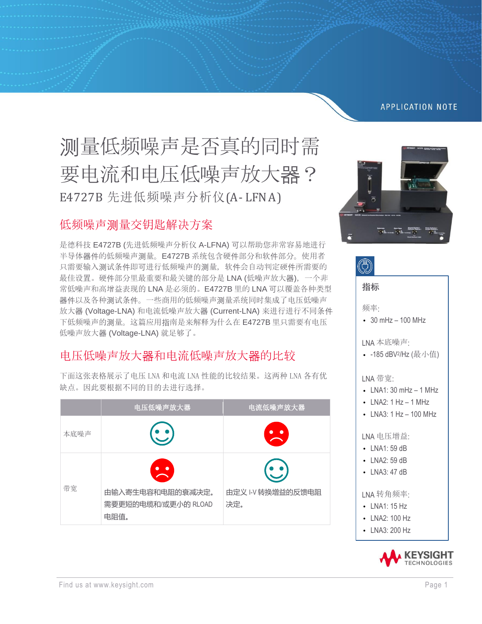#### **APPLICATION NOTE**

# 测量低频噪声是否真的同时需 要电流和电压低噪声放大器? E4727B 先进低频噪声分析仪(A- LFNA)

### 低频噪声测量交钥匙解决方案

是德科技 E4727B (先进低频噪声分析仪 A-LFNA) 可以帮助您非常容易地进行 半导体器件的低频噪声测量。E4727B 系统包含硬件部分和软件部分。使用者 只需要输入测试条件即可进行低频噪声的测量,软件会自动判定硬件所需要的 最佳设置。硬件部分里最重要和最关键的部分是 LNA (低噪声放大器),一个非 常低噪声和高增益表现的 LNA 是必须的。E4727B 里的 LNA 可以覆盖各种类型 器件以及各种测试条件。一些商用的低频噪声测量系统同时集成了电压低噪声 放大器 (Voltage-LNA) 和电流低噪声放大器 (Current-LNA) 来进行进行不同条件 下低频噪声的测量。这篇应用指南是来解释为什么在 E4727B 里只需要有电压 低噪声放大器 (Voltage-LNA) 就足够了。

## 电压低噪声放大器和电流低噪声放大器的比较

|      | 电压低噪声放大器                                        | 电流低噪声放大器                 |
|------|-------------------------------------------------|--------------------------|
| 本底噪声 |                                                 |                          |
| 带宽   | 由输入寄生电容和电阻的衰减决定。<br>需要更短的电缆和/或更小的 RLOAD<br>电阻值。 | 由定义 I-V 转换增益的反馈电阻<br>决定。 |

下面这张表格展示了电压 LNA 和电流 LNA 性能的比较结果。这两种 LNA 各有优 缺点。因此要根据不同的目的去进行选择。



| 指标                                                                                                    |
|-------------------------------------------------------------------------------------------------------|
| 频率:<br>$-30$ mHz $-100$ MHz                                                                           |
| LNA 本底噪声:<br>-185 dBV <sup>2</sup> /Hz (最小值)                                                          |
| LNA 带宽:<br>$\cdot$ LNA1: 30 mHz $-$ 1 MHz<br>$\cdot$ LNA2: 1 Hz $-$ 1 MHz<br>LNA3: $1$ Hz $-$ 100 MHz |
| LNA 电压增益:<br>LNA1: 59 dB<br>LNA2: 59 dB<br>LNA3: 47 dB                                                |
| LNA 转角频率:<br>LNA1: 15 Hz<br>LNA2:100 Hz<br>LNA3: 200 Hz                                               |
|                                                                                                       |

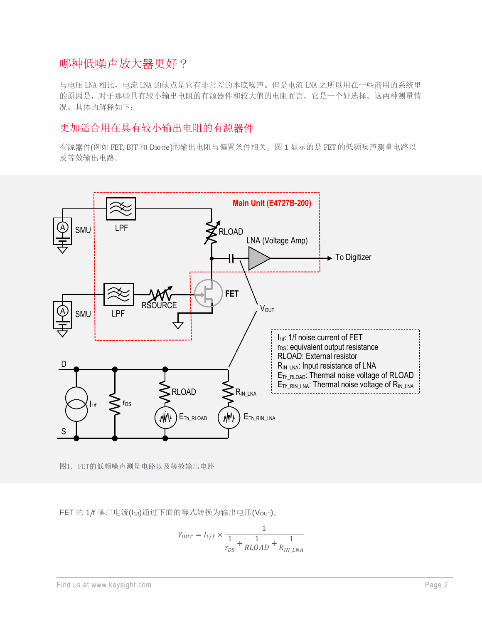#### 哪种低噪声放大器更好?

与电压 LNA 相比,电流 LNA 的缺点是它有非常差的本底噪声。但是电流 LNA 之所以用在一些商用的系统里 的原因是,对于那些具有较小输出电阻的有源器件和较大值的电阻而言,它是一个好选择。这两种测量情 况。具体的解释如下:

#### 更加适合用在具有较小输出电阻的有源器件

有源器件(例如 FET, BJT 和 Diode)的输出电阻与偏置条件相关。图 1 显示的是 FET 的低频噪声测量电路以 及等效输出电路。



图1. FET的低频噪声测量电路以及等效输出电路

FET 的 1/f 噪声电流(I1/f)通过下面的等式转换为输出电压(Vout)。

$$
V_{OUT}=I_{1/f}\times\frac{1}{\frac{1}{r_{DS}}+\frac{1}{RLOAD}+\frac{1}{R_{IN\_LNA}}}
$$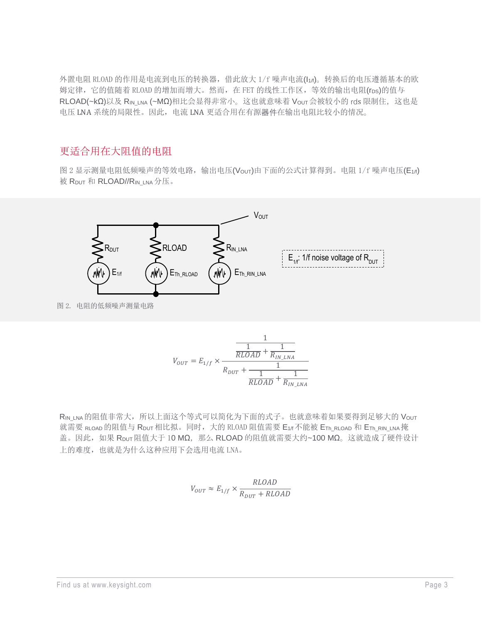外置电阻 RLOAD 的作用是电流到电压的转换器,借此放大 1/f 噪声电流(I1/f)。转换后的电压遵循基本的欧 姆定律,它的值随着 RLOAD 的增加而增大。然而,在 FET 的线性工作区,等效的输出电阻(rps)的值与 RLOAD(~kΩ)以及 R<sub>IN\_LNA</sub> (~MΩ)相比会显得非常小。这也就意味着 V<sub>OUT</sub>会被较小的 rds 限制住, 这也是 电压 LNA 系统的局限性。因此,电流 LNA 更适合用在有源器件在输出电阻比较小的情况。

#### 更适合用在大阻值的电阻

图 2 显示测量电阻低频噪声的等效电路,输出电压(Vour)由下面的公式计算得到。电阻 1/f 噪声电压(E1/f) 被 RDUT 和 RLOAD//RIN\_LNA 分压。



图 2. 电阻的低频噪声测量电路

$$
V_{OUT} = E_{1/f} \times \frac{\frac{1}{RLOAD} + \frac{1}{R_{IN\_LNA}}}{R_{DUT} + \frac{1}{\frac{1}{RLOAD} + \frac{1}{R_{IN\_LNA}}}}
$$

RIN LNA 的阻值非常大,所以上面这个等式可以简化为下面的式子。也就意味着如果要得到足够大的 Vour 就需要 RLOAD 的阻值与 Rput 相比拟。同时,大的 RLOAD 阻值需要 E1/f 不能被 ETh\_RLOAD 和 ETh\_RIN\_LNA 掩 盖。因此, 如果 RDUT阻值大于 10 MΩ, 那么 RLOAD 的阻值就需要大约~100 MΩ。这就造成了硬件设计 上的难度,也就是为什么这种应用下会选用电流 LNA。

$$
V_{OUT}\approx E_{1/f}\times \frac{RLOAD}{R_{DUT}+RLOAD}
$$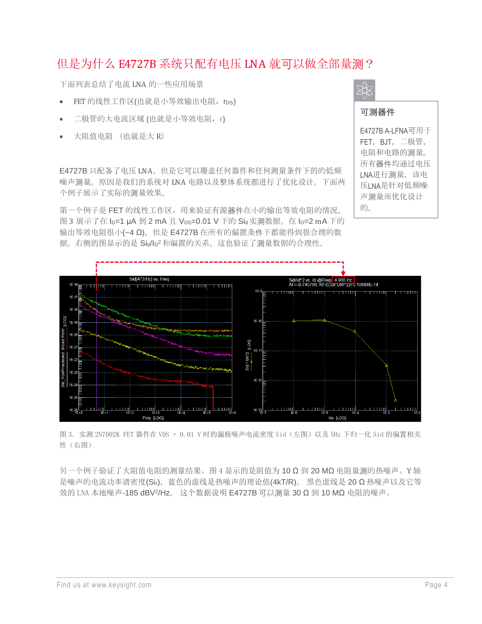## 但是为什么 E4727B 系统只配有电压 LNA 就可以做全部量测?

下面列表总结了电流 LNA 的一些应用场景

- FET 的线性工作区(也就是小等效输出电阻, rps)
- 二极管的大电流区域 (也就是小等效电阻,r)
- 大阻值电阻 (也就是大 R)

E4727B 只配备了电压 LNA, 但是它可以覆盖任何器件和任何测量条件下的的低频 噪声测量。原因是我们的系统对 LNA 电路以及整体系统都进行了优化设计。下面两 个例子展示了实际的测量效果。

第一个例子是 FET 的线性工作区,用来验证有源器件在小的输出等效电阻的情况。 图 3 展示了在 lp=1 μA 到 2 mA 且 Vps=0.01 V 下的 Sid 实测数据。在 lp=2 mA 下的 输出等效电阻很小(~4 Ω), 但是 E4727B 在所有的偏置条件下都能得到很合理的数 据。右侧的图显示的是 Sia/Ip<sup>2</sup> 和偏置的关系。这也验证了测量数据的合理性。



的。



图 3. 实测 2N7002K FET 器件在 VDS = 0.01 V 时的漏极噪声电流密度 Sid(左图)以及 5Hz 下归一化 Sid 的偏置相关 性(右图)

另一个例子验证了大阻值电阻的测量结果。图 4 显示的是阻值为 10 Ω 到 20 MΩ 电阻量测的热噪声。Y 轴 是噪声的电流功率谱密度(Sir),蓝色的虚线是热噪声的理论值(4kT/R)。 黑色虚线是 20 Ω 热噪声以及它等 效的 LNA 本地噪声-185 dBV?/Hz。 这个数据说明 E4727B 可以测量 30 Ω 到 10 MΩ 电阻的噪声。